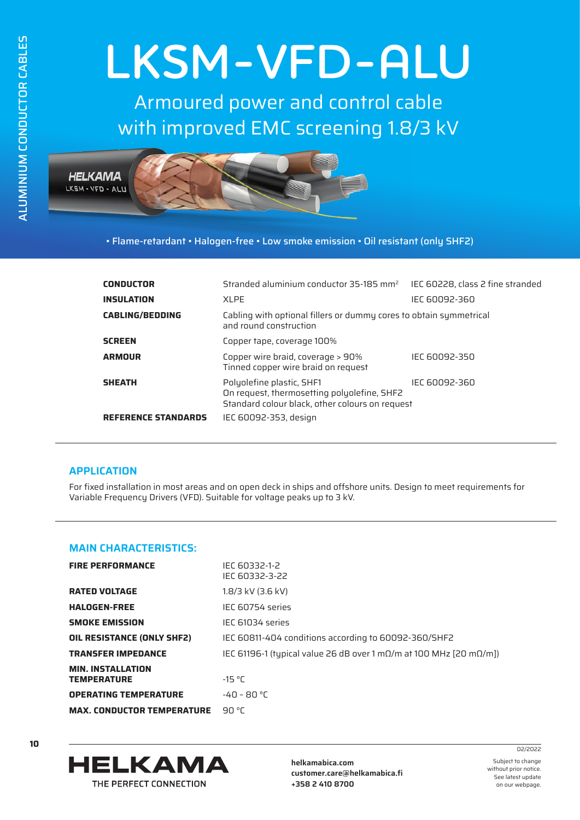## **LKSM-VFD-ALU**

Armoured power and control cable with improved EMC screening 1.8/3 kV



• Flame-retardant • Halogen-free • Low smoke emission • Oil resistant (only SHF2)

| <b>CONDUCTOR</b>           | Stranded aluminium conductor $35-185$ mm <sup>2</sup>                                                                       | IEC 60228, class 2 fine stranded |  |  |  |  |
|----------------------------|-----------------------------------------------------------------------------------------------------------------------------|----------------------------------|--|--|--|--|
| <b>INSULATION</b>          | <b>XLPE</b>                                                                                                                 | IEC 60092-360                    |  |  |  |  |
| <b>CABLING/BEDDING</b>     | Cabling with optional fillers or dummy cores to obtain symmetrical<br>and round construction                                |                                  |  |  |  |  |
| <b>SCREEN</b>              | Copper tape, coverage 100%                                                                                                  |                                  |  |  |  |  |
| <b>ARMOUR</b>              | Copper wire braid, coverage > 90%<br>Tinned copper wire braid on request                                                    | IEC 60092-350                    |  |  |  |  |
| <b>SHEATH</b>              | Polyolefine plastic, SHF1<br>On request, thermosetting polyolefine, SHF2<br>Standard colour black, other colours on request | IEC 60092-360                    |  |  |  |  |
| <b>REFERENCE STANDARDS</b> | IEC 60092-353, design                                                                                                       |                                  |  |  |  |  |

## **APPLICATION**

For fixed installation in most areas and on open deck in ships and offshore units. Design to meet requirements for Variable Frequency Drivers (VFD). Suitable for voltage peaks up to 3 kV.

## **MAIN CHARACTERISTICS:**

| <b>FIRE PERFORMANCE</b>                        | IFC 60332-1-2<br>IFC 60332-3-22                                                     |
|------------------------------------------------|-------------------------------------------------------------------------------------|
| <b>RATED VOLTAGE</b>                           | 1.8/3 kV (3.6 kV)                                                                   |
| <b>HALOGEN-FREE</b>                            | IEC 60754 series                                                                    |
| <b>SMOKE EMISSION</b>                          | IEC 61034 series                                                                    |
| <b>OIL RESISTANCE (ONLY SHF2)</b>              | IEC 60811-404 conditions according to 60092-360/SHF2                                |
| <b>TRANSFER IMPEDANCE</b>                      | IEC 61196-1 (typical value 26 dB over 1 m $\Omega/m$ at 100 MHz [20 m $\Omega/m$ ]) |
| <b>MIN. INSTALLATION</b><br><b>TEMPERATURE</b> | $-15 °C$                                                                            |
| <b>OPERATING TEMPERATURE</b>                   | $-40 - 80 °C$                                                                       |
| <b>MAX. CONDUCTOR TEMPERATURE</b>              | 90 °C                                                                               |



**helkamabica.com customer.care@helkamabica.fi +358 2 410 8700**

Subject to change without prior notice. See latest update

on our webpage.